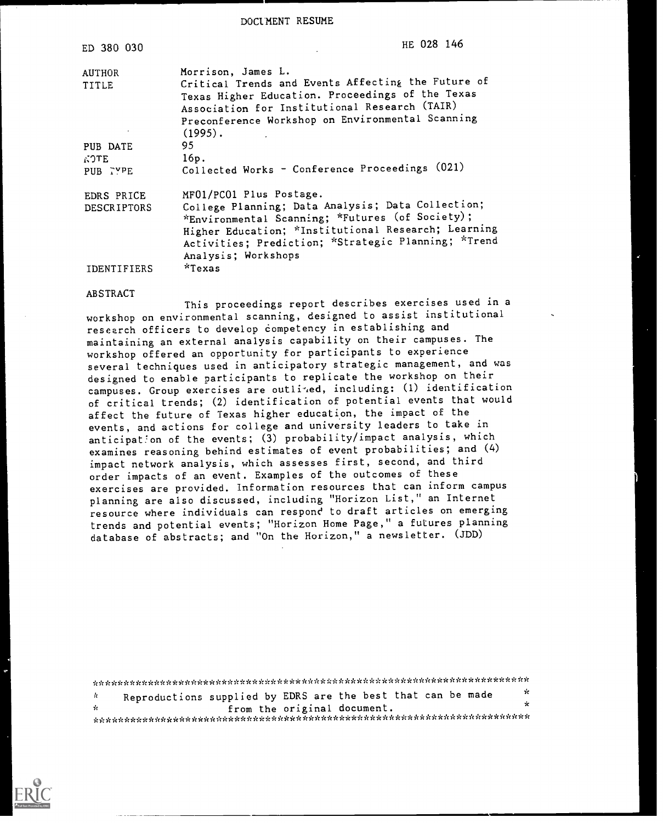DOCUMENT RESUME

 $\sim$   $\sim$   $\sim$ 

| ED 380 030             | HE 028 146                                                                                                                                                                                                                                |
|------------------------|-------------------------------------------------------------------------------------------------------------------------------------------------------------------------------------------------------------------------------------------|
| <b>AUTHOR</b><br>TITLE | Morrison, James L.<br>Critical Trends and Events Affecting the Future of<br>Texas Higher Education. Proceedings of the Texas<br>Association for Institutional Research (TAIR)                                                             |
|                        | Preconference Workshop on Environmental Scanning<br>$(1995)$ .                                                                                                                                                                            |
| PUB DATE               | 95                                                                                                                                                                                                                                        |
| <b>NOTE</b>            | 16p.                                                                                                                                                                                                                                      |
| PUB TYPE               | Collected Works - Conference Proceedings (021)                                                                                                                                                                                            |
| EDRS PRICE             | MF01/PC01 Plus Postage.                                                                                                                                                                                                                   |
| <b>DESCRIPTORS</b>     | College Planning; Data Analysis; Data Collection;<br>*Environmental Scanning; *Futures (of Society);<br>Higher Education; *Institutional Research; Learning<br>Activities; Prediction; *Strategic Planning; *Trend<br>Analysis; Workshops |
| IDENTIFIERS            | *Texas                                                                                                                                                                                                                                    |

#### ABSTRACT

This proceedings report describes exercises used in a workshop on environmental scanning, designed to assist institutional research officers to develop competency in establishing and maintaining an external analysis capability on their campuses. The workshop offered an opportunity for participants to experience several techniques used in anticipatory strategic management, and was designed to enable participants to replicate the workshop on their campuses. Group exercises are outlized, including: (1) identification of critical trends; (2) identification of potential events that would affect the future of Texas higher education, the impact of the events, and actions for college and university leaders to take in anticipation of the events; (3) probability/impact analysis, which examines reasoning behind estimates of event probabilities; and (4) impact network analysis, which assesses first, second, and third order impacts of an event. Examples of the outcomes of these exercises are provided. Information resources that can inform campus planning are also discussed, including "Horizon List," an Internet resource where individuals can respond to draft articles on emerging trends and potential events; "Horizon Home Page," a futures planning database of abstracts; and "On the Horizon," a newsletter. (JDD)

\*\*\*\*\*\*\*\*\*\*\*\*\*\*\*\*\*\*\*\*\*\*\*\*\*\*\*\*\*\*\*\*\*\*\*\*\*\*\*\*\*\*\*\*\*\*\*\*\*\*\*\*\*\*\*\*\*\*\*\*\*\*\*\*\*\*\*\*\*\*\* Reproductions supplied by EDRS are the best that can be made  $\frac{1}{x}$  $\Lambda$  $\ddot{x}$ from the original document. \*\*\*\*\*\*\*\*\*\*\*\*\*\*\*\*\*\*\*\*\*\*\*\*\*\*\*\*\*\*\*\*\*\*\*\*\*\*\*\*\*\*\*\*\*\*\*\*\*\*\*\*\*\*\*\*\*\*\*\*\*\*\*\*\*\*\*\*\*\*\*

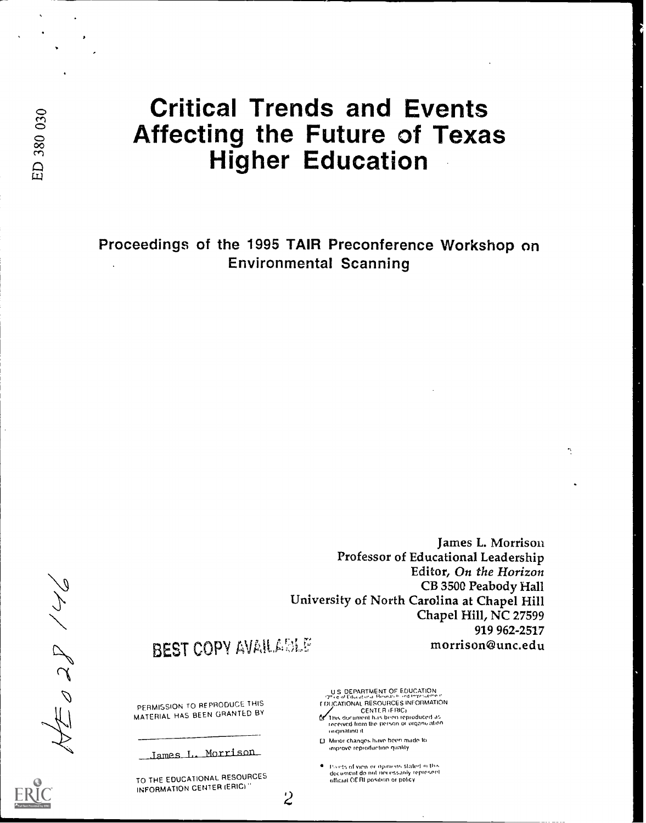# Critical Trends and Events Affecting the Future of Texas Higher Education

Proceedings of the 1995 TAIR Preconference Workshop on Environmental Scanning

> James L. Morrison Professor of Educational Leadership Editor, On the Horizon CB 3500 Peabody Hall University of North Carolina at Chapel Hill Chapel Hill, NC 27599 919 962-2517 morrison@unc.edu

# **BEST COPY AVAILABLE**

PERMISSION TO REPRODUCE THIS MATERIAL HAS BEEN GRANTED BY

James\_L. Morrison

TO THE EDUCATIONAL RESOURCES INFORMATION CENTER (ERIC)

US DEPARTMENT OF EDUCATION<br>'Y' centralism Besource's information<br>FDUCATIONAL RESOURCES INFORMATION

CENT!: R IFRICr lhrs document h.is been reproduced as received Irons the potion Of orclaniwation ...gumbo() II

U Minor chanties have howl made to improve reproductron quality

2

. Points of view or opinions stated in this document do nut necessarily represent official OERI position or policy

ED 380 030

NN CCO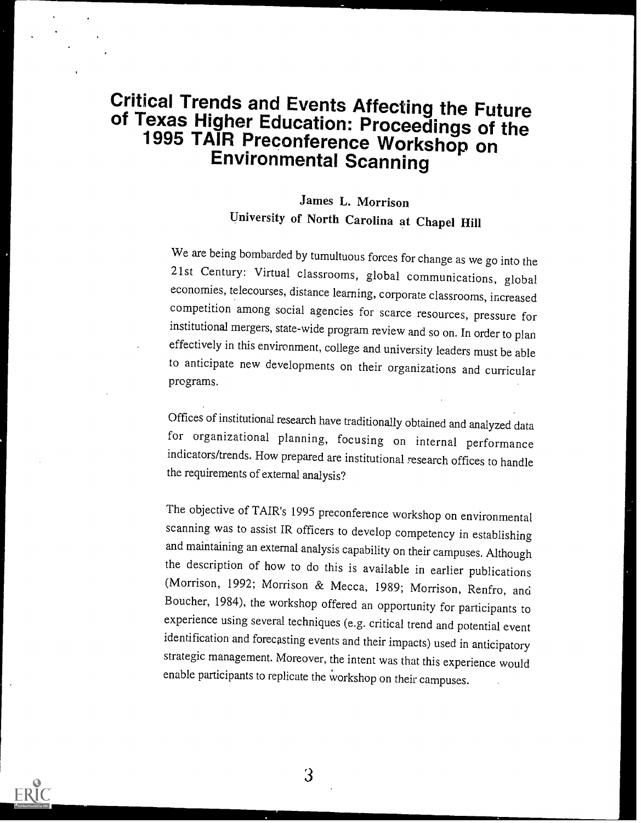# Critical Trends and Events Affecting the Future of Texas Higher Education: Proceedings of the 1995 TAIR Preconference Workshop on Environmental Scanning

# James L. Morrison University of North Carolina at Chapel Hill

We are being bombarded by tumultuous forces for change as we go into the 21st Century: Virtual classrooms, global communications, global economies, telecourses, distance learning, corporate classrooms, increased competition among social agencies for scarce resources, pressure for institutional mergers, state-wide program review and so on. In order to plan effectively in this environment, college and university leaders must be able to anticipate new developments on their organizations and curricular programs.

Offices of institutional research have traditionally obtained and analyzed data for organizational planning, focusing on internal performance indicators/trends. How prepared are institutional research offices to handle the requirements of external analysis?

The objective of TAIR's 1995 preconference workshop on environmental scanning was to assist IR officers to develop competency in establishing and maintaining an external analysis capability on their campuses. Although the description of how to do this is available in earlier publications (Morrison, 1992; Morrison & Mecca, 1989; Morrison, Renfro, and Boucher, 1984), the workshop offered an opportunity for participants to experience using several techniques (e.g. critical trend and potential event identification and forecasting events and their impacts) used in anticipatory strategic management. Moreover, the intent was that this experience would enable participants to replicate the workshop on their campuses.



3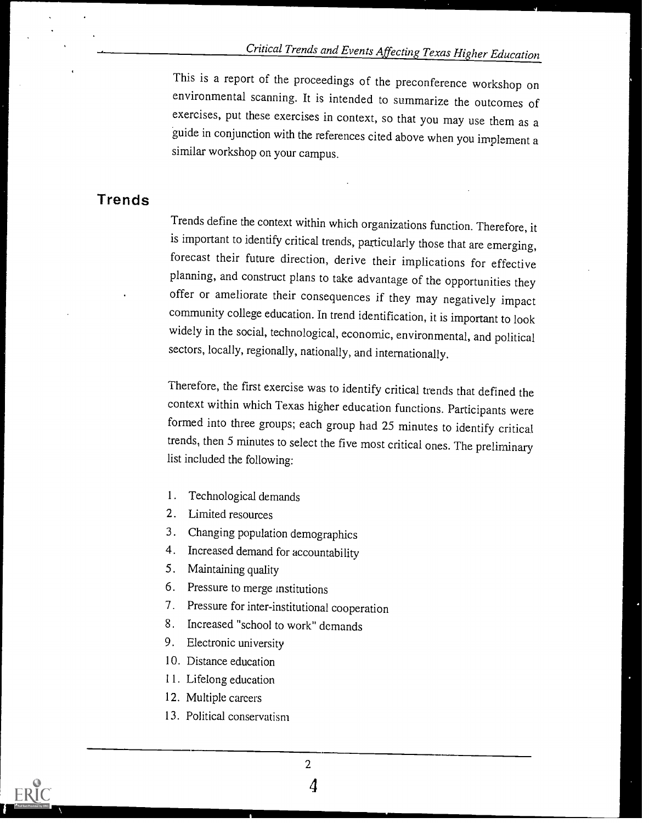This is a report of the proceedings of the preconference workshop on environmental scanning. It is intended to summarize the outcomes of exercises, put these exercises in context, so that you may use them as a guide in conjunction with the references cited above when you implement a similar workshop on your campus.

# Trends

Trends define the context within which organizations function. Therefore, it is important to identify critical trends, particularly those that are emerging, forecast their future direction, derive their implications for effective planning, and construct plans to take advantage of the opportunities they offer or ameliorate their consequences if they may negatively impact community college education. In trend identification, it is important to look widely in the social, technological, economic, environmental, and political sectors, locally, regionally, nationally, and internationally.

Therefore, the first exercise was to identify critical trends that defined the context within which Texas higher education functions. Participants were formed into three groups; each group had 25 minutes to identify critical trends, then 5 minutes to select the five most critical ones. The preliminary list included the following:

- 1. Technological demands
- 2. Limited resources
- 3. Changing population demographics
- 4. Increased demand for accountability
- 5. Maintaining quality
- 6. Pressure to merge institutions
- 7. Pressure for inter-institutional cooperation
- 8. Increased "school to work" demands
- 9. Electronic university
- 10. Distance education
- 11. Lifelong education
- 12. Multiple careers
- 13. Political conservatism

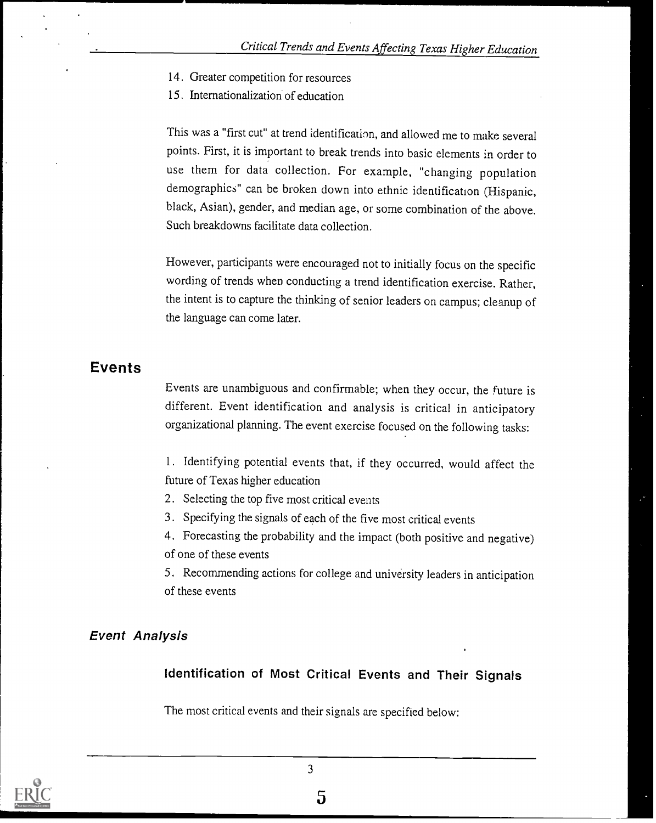- 14. Greater competition for resources
- 15. Internationalization of education

This was a "first cut" at trend identification, and allowed me to make several points. First, it is important to break trends into basic elements in order to use them for data collection. For example, "changing population demographics" can be broken down into ethnic identification (Hispanic, black, Asian), gender, and median age, or some combination of the above. Such breakdowns facilitate data collection.

However, participants were encouraged not to initially focus on the specific wording of trends when conducting a trend identification exercise. Rather, the intent is to capture the thinking of senior leaders on campus; cleanup of the language can come later.

# Events

Events are unambiguous and confirmable; when they occur, the future is different. Event identification and analysis is critical in anticipatory organizational planning. The event exercise focused on the following tasks:

1. Identifying potential events that, if they occurred, would affect the future of Texas higher education

- 2. Selecting the top five most critical events
- 3. Specifying the signals of each of the five most critical events
- 4. Forecasting the probability and the impact (both positive and negative) of one of these events

5. Recommending actions for college and university leaders in anticipation of these events

# Event Analysis

# Identification of Most Critical Events and Their Signals

The most critical events and their signals are specified below:

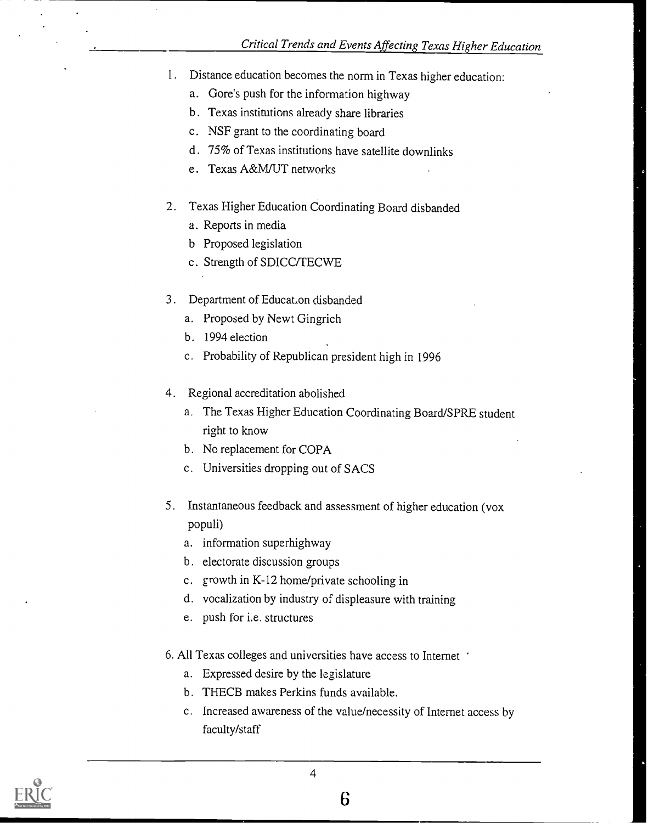- 1. Distance education becomes the norm in Texas higher education:
	- a. Gore's push for the information highway
	- b. Texas institutions already share libraries
	- c. NSF grant to the coordinating board
	- d. 75% of Texas institutions have satellite downlinks
	- e. Texas A&M/UT networks
- 2. Texas Higher Education Coordinating Board disbanded
	- a. Reports in media
	- b Proposed legislation
	- c. Strength of SDICC/TECWE
- 3. Department of Educat.on disbanded
	- a. Proposed by Newt Gingrich
	- b. 1994 election
	- c. Probability of Republican president high in 1996
- 4. Regional accreditation abolished
	- a. The Texas Higher Education Coordinating Board/SPRE student right to know
	- b. No replacement for COPA
	- c. Universities dropping out of SACS
- 5. Instantaneous feedback and assessment of higher education (vox populi)
	- a. information superhighway
	- b. electorate discussion groups
	- c. growth in K-12 home/private schooling in
	- d. vocalization by industry of displeasure with training
	- e. push for i.e. structures
- 6. All Texas colleges and universities have access to Internet
	- a. Expressed desire by the legislature
	- b. THECB makes Perkins funds available.
	- c. Increased awareness of the value/necessity of Internet access by faculty/staff

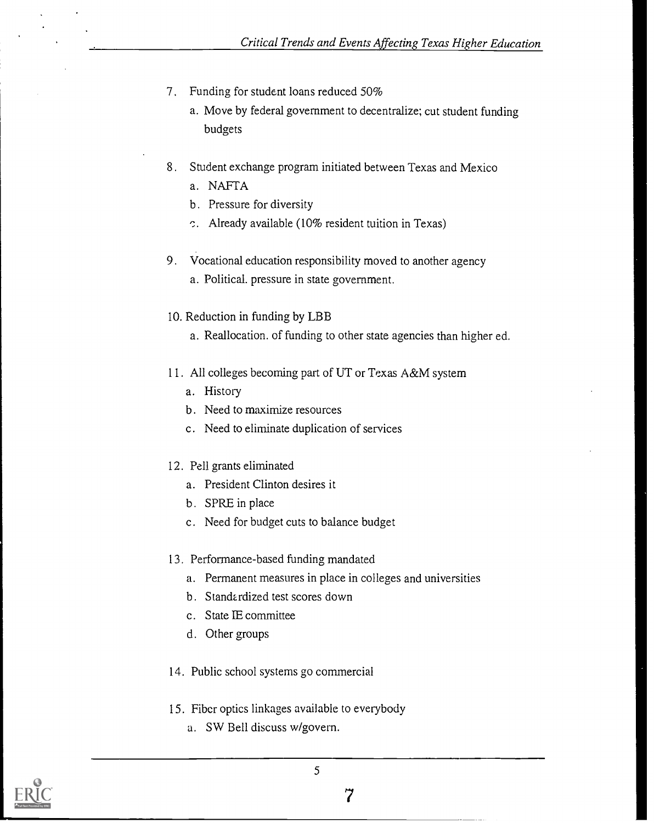- 7. Funding for student loans reduced 50%
	- a. Move by federal government to decentralize; cut student funding budgets
- 8. Student exchange program initiated between Texas and Mexico
	- a. NAFTA
	- b. Pressure for diversity
	- c. Already available (10% resident tuition in Texas)
- 9. Vocational education responsibility moved to another agency a. Political. pressure in state government.
- 10. Reduction in funding by LBB
	- a. Reallocation. of funding to other state agencies than higher ed.
- 11. All colleges becoming part of UT or Texas A&M system
	- a. History
	- b. Need to maximize resources
	- c. Need to eliminate duplication of services
- 12. Pell grants eliminated
	- a. President Clinton desires it
	- b. SPRE in place
	- c. Need for budget cuts to balance budget
- 13. Performance-based funding mandated
	- a. Permanent measures in place in colleges and universities
	- b. Standardized test scores down
	- c. State IE committee
	- d. Other groups
- 14. Public school systems go commercial
- 15. Fiber optics linkages available to everybody
	- a. SW Bell discuss w/govern.

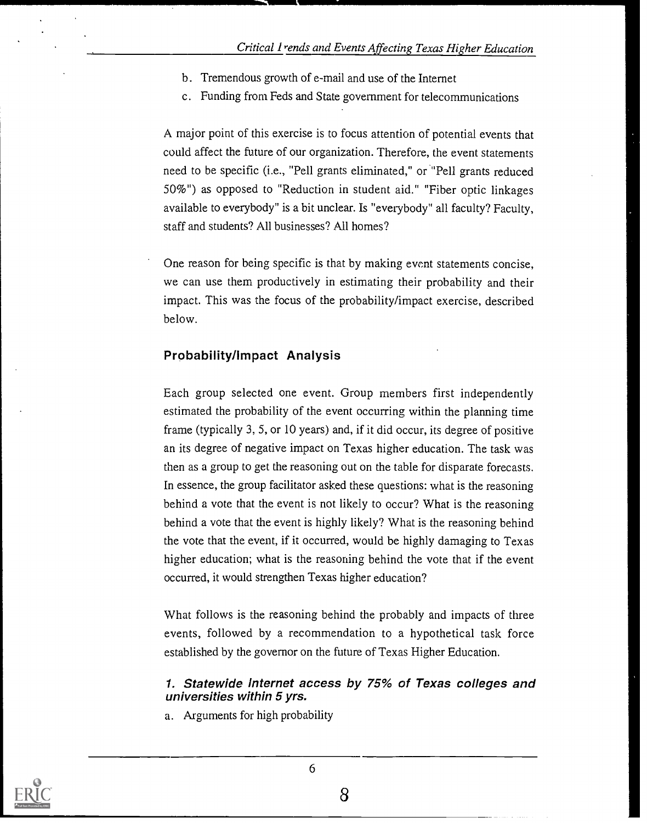- b. Tremendous growth of e-mail and use of the Internet
- c. Funding from Feds and State government for telecommunications

A major point of this exercise is to focus attention of potential events that could affect the future of our organization. Therefore, the event statements need to be specific (i.e., "Pell grants eliminated," or "Pell grants reduced 50%") as opposed to "Reduction in student aid." "Fiber optic linkages available to everybody" is a bit unclear. Is "everybody" all faculty? Faculty, staff and students? All businesses? All homes?

One reason for being specific is that by making event statements concise, we can use them productively in estimating their probability and their impact. This was the focus of the probability/impact exercise, described below.

#### Probability/Impact Analysis

Each group selected one event. Group members first independently estimated the probability of the event occurring within the planning time frame (typically 3, 5, or 10 years) and, if it did occur, its degree of positive an its degree of negative impact on Texas higher education. The task was then as a group to get the reasoning out on the table for disparate forecasts. In essence, the group facilitator asked these questions: what is the reasoning behind a vote that the event is not likely to occur? What is the reasoning behind a vote that the event is highly likely? What is the reasoning behind the vote that the event, if it occurred, would be highly damaging to Texas higher education; what is the reasoning behind the vote that if the event occurred, it would strengthen Texas higher education?

What follows is the reasoning behind the probably and impacts of three events, followed by a recommendation to a hypothetical task force established by the governor on the future of Texas Higher Education.

#### 1. Statewide Internet access by 75% of Texas colleges and universities within 5 yrs.

a. Arguments for high probability

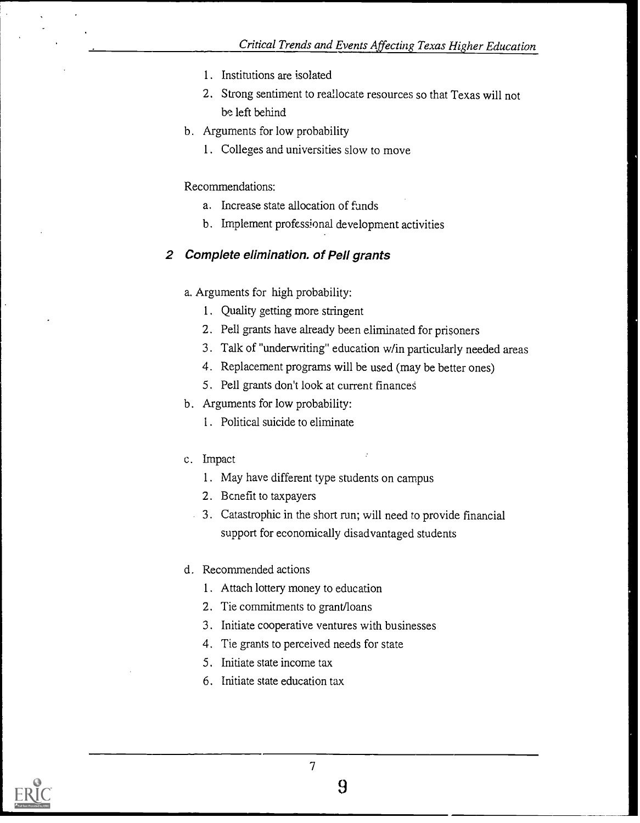- 1. Institutions are isolated
- 2. Strong sentiment to reallocate resources so that Texas will not be left behind
- b. Arguments for low probability
	- 1. Colleges and universities slow to move

#### Recommendations:

- a. Increase state allocation of funds
- b. Implement professional development activities

### 2 Complete elimination, of Pell grants

- a. Arguments for high probability;
	- 1. Quality getting more stringent
	- 2. Pell grants have already been eliminated for prisoners
	- 3. Talk of "underwriting" education w/in particularly needed areas
	- 4. Replacement programs will be used (may be better ones)
	- 5. Pell grants don't look at current financed
- b. Arguments for low probability:
	- I. Political suicide to eliminate
- C. Impact
	- 1. May have different type students on campus
	- 2. Benefit to taxpayers
	- 3. Catastrophic in the short run; will need to provide financial support for economically disadvantaged students
- d. Recommended actions
	- 1. Attach lottery money to education
	- 2. Tie commitments to grant/loans
	- 3. Initiate cooperative ventures with businesses
	- 4. Tie grants to perceived needs for state
	- 5. Initiate state income tax
	- 6. Initiate state education tax

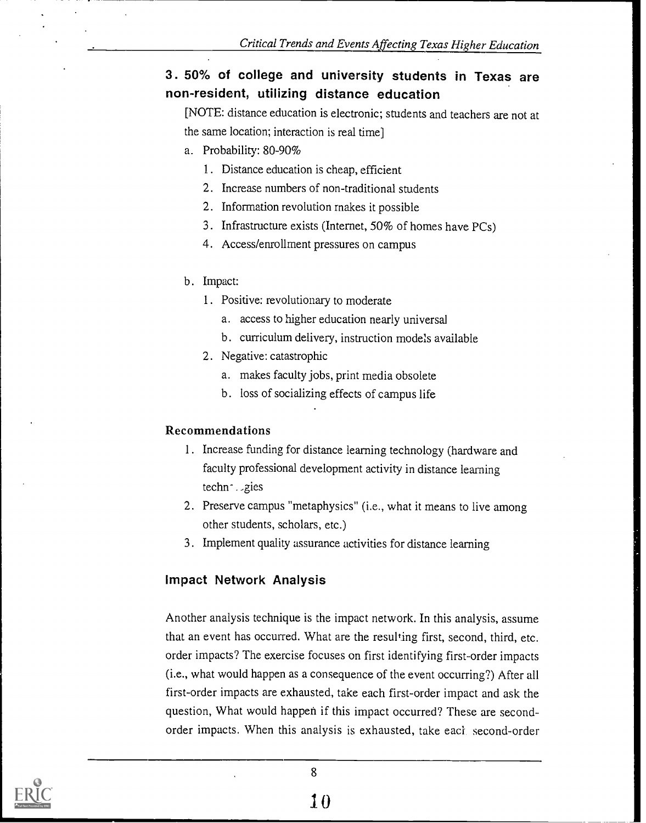# 3. 50% of college and university students in Texas are non-resident, utilizing distance education

[NOTE: distance education is electronic; students and teachers are not at the same location; interaction is real time]

- a. Probability: 80-90%
	- I. Distance education is cheap, efficient
	- 2. Increase numbers of non-traditional students
	- 2. Information revolution makes it possible
	- 3. Infrastructure exists (Internet, 50% of homes have PCs)
	- 4. Access/enrollment pressures on campus
- b. Impact:
	- 1. Positive: revolutionary to moderate
		- a. access to higher education nearly universal
		- b. curriculum delivery, instruction models available
	- 2. Negative: catastrophic
		- a. makes faculty jobs, print media obsolete
		- b. loss of socializing effects of campus life

# Recommendations

- 1. Increase funding for distance learning technology (hardware and faculty professional development activity in distance learning techn- ..gies
- 2. Preserve campus "metaphysics" (i.e., what it means to live among other students, scholars, etc.)
- 3. Implement quality assurance activities for distance learning

# Impact Network Analysis

Another analysis technique is the impact network. In this analysis, assume that an event has occurred. What are the resulting first, second, third, etc. order impacts? The exercise focuses on first identifying first-order impacts (i.e., what would happen as a consequence of the event occurring?) After all first-order impacts are exhausted, take each first-order impact and ask the question, What would happen if this impact occurred? These are secondorder impacts. When this analysis is exhausted, take eaci second-order

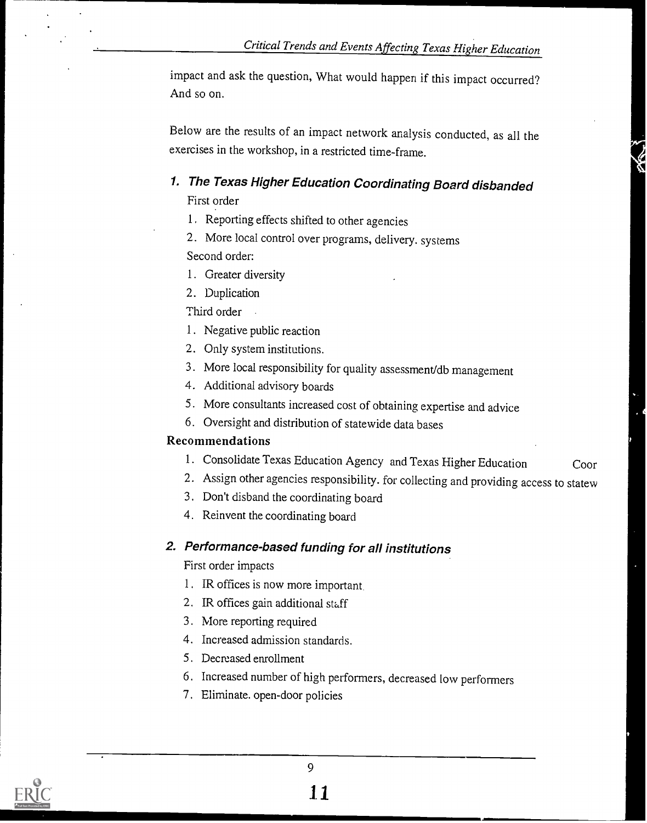impact and ask the question, What would happen if this impact occurred? And so on.

Below are the results of an impact network analysis conducted, as all the exercises in the workshop, in a restricted time-frame.

# 1. The Texas Higher Education Coordinating Board disbanded

First order

- 1. Reporting effects shifted to other agencies
- 2. More local control over programs, delivery. systems Second order:
- 1. Greater diversity
- 2. Duplication

Third order

- 1. Negative public reaction
- 2. Only system institutions.
- 3. More local responsibility for quality assessment/db management
- 4. Additional advisory boards
- 5. More consultants increased cost of obtaining expertise and advice
- 6. Oversight and distribution of statewide data bases

#### Recommendations

- 1. Consolidate Texas Education Agency and Texas Higher Education Coor
- 2. Assign other agencies responsibility. for collecting and providing access to statew
- 3. Don't disband the coordinating board
- 4. Reinvent the coordinating board

# 2. Performance-based funding for all institutions

First order impacts

- 1. IR offices is now more important.
- 2. IR offices gain additional staff
- 3. More reporting required
- 4. Increased admission standards.
- 5. Decreased enrollment
- 6. Increased number of high performers, decreased low performers
- 7. Eliminate. open-door policies

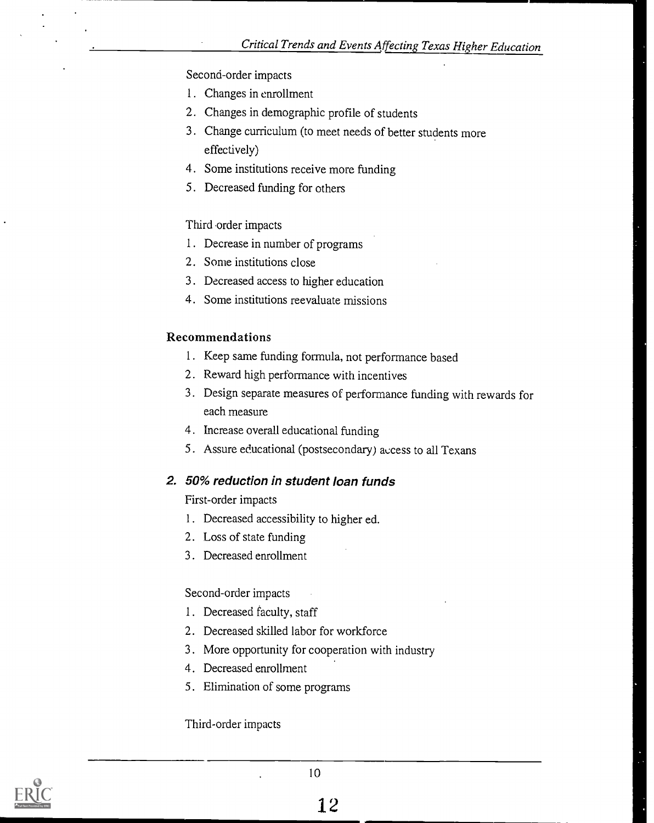#### Second-order impacts

- 1. Changes in enrollment
- 2. Changes in demographic profile of students
- 3. Change curriculum (to meet needs of better students more effectively)
- 4. Some institutions receive more funding
- 5. Decreased funding for others

#### Third order impacts

- 1. Decrease in number of programs
- 2. Some institutions close
- 3. Decreased access to higher education
- 4. Some institutions reevaluate missions

#### Recommendations

- 1. Keep same funding formula, not performance based
- 2. Reward high performance with incentives
- 3. Design separate measures of performance funding with rewards for each measure
- 4. Increase overall educational funding
- 5. Assure educational (postsecondary) access to all Texans

# 2. 50% reduction in student loan funds

First-order impacts

- 1. Decreased accessibility to higher ed.
- 2. Loss of state funding
- 3. Decreased enrollment

#### Second-order impacts

- 1. Decreased faculty, staff
- 2. Decreased skilled labor for workforce
- 3. More opportunity for cooperation with industry
- 4. Decreased enrollment
- 5. Elimination of some programs

#### Third-order impacts

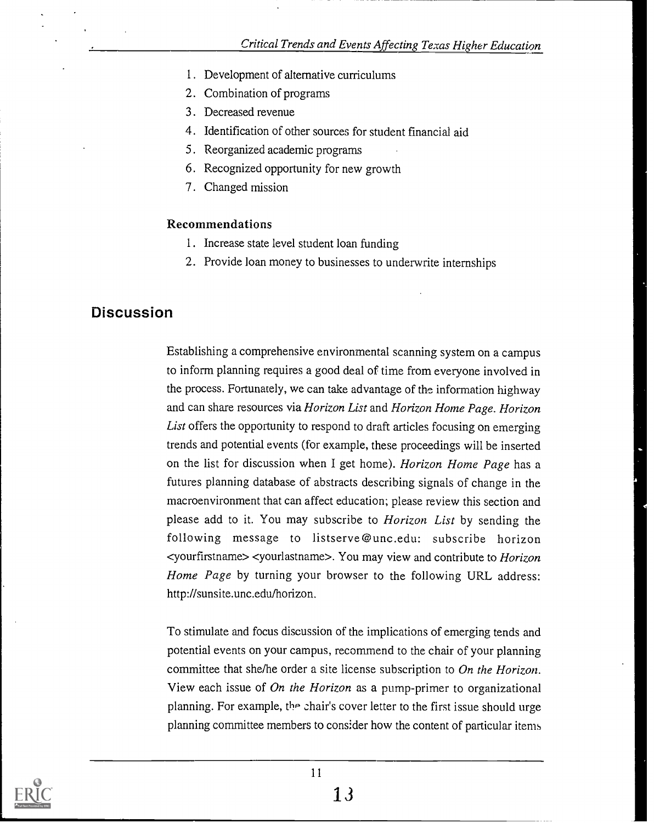- 1. Development of alternative curriculums
- 2. Combination of programs
- 3. Decreased revenue
- 4. Identification of other sources for student financial aid
- 5. Reorganized academic programs
- 6. Recognized opportunity for new growth
- 7. Changed mission

#### Recommendations

- 1. Increase state level student loan funding
- 2. Provide loan money to businesses to underwrite internships

# **Discussion**

Establishing a comprehensive environmental scanning system on a campus to inform planning requires a good deal of time from everyone involved in the process. Fortunately, we can take advantage of the information highway and can share resources via Horizon List and Horizon Home Page. Horizon List offers the opportunity to respond to draft articles focusing on emerging trends and potential events (for example, these proceedings will be inserted on the list for discussion when I get home). Horizon Home Page has a futures planning database of abstracts describing signals of change in the macroenvironment that can affect education; please review this section and please add to it. You may subscribe to Horizon List by sending the following message to listserve@unc.edu: subscribe horizon <yourfirstname> <yourlastname>. You may view and contribute to Horizon Home Page by turning your browser to the following URL address: http://sunsite.unc.edu/horizon.

To stimulate and focus discussion of the implications of emerging tends and potential events on your campus, recommend to the chair of your planning committee that she/he order a site license subscription to On the Horizon. View each issue of On the Horizon as a pump-primer to organizational planning. For example, the chair's cover letter to the first issue should urge planning committee members to consider how the content of particular items

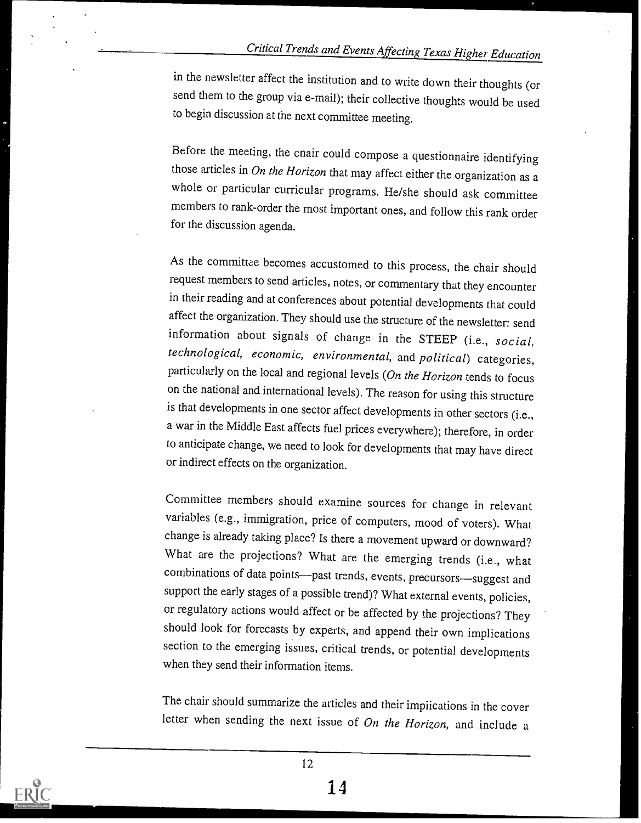in the newsletter affect the institution and to write down their thoughts (or send them to the group via e-mail); their collective thoughts would be used to begin discussion at the next committee meeting.

Before the meeting, the cnair could compose a questionnaire identifying those articles in On the Horizon that may affect either the organization as a whole or particular curricular programs. He/she should ask committee members to rank-order the most important ones, and follow this rank order for the discussion agenda.

As the committee becomes accustomed to this process, the chair should request members to send articles, notes, or commentary that they encounter in their reading and at conferences about potential developments that could affect the organization. They should use the structure of the newsletter: send information about signals of change in the STEEP (i.e., social, technological, economic, environmental, and political) categories, particularly on the local and regional levels (On the Horizon tends to focus on the national and international levels). The reason for using this structure is that developments in one sector affect developments in other sectors (i.e., a war in the Middle East affects fuel prices everywhere); therefore, in order to anticipate change, we need to look for developments that may have direct or indirect effects on the organization.

Committee members should examine sources for change in relevant variables (e.g., immigration, price of computers, mood of voters). What change is already taking place? Is there a movement upward or downward? What are the projections? What are the emerging trends (i.e., what combinations of data points--past trends, events, precursors-suggest and support the early stages of a possible trend)? What external events, policies, or regulatory actions would affect or be affected by the projections? They should look for forecasts by experts, and append their own implications section to the emerging issues, critical trends, or potential developments when they send their information items.

The chair should summarize the articles and their implications in the cover letter when sending the next issue of On the Horizon, and include a

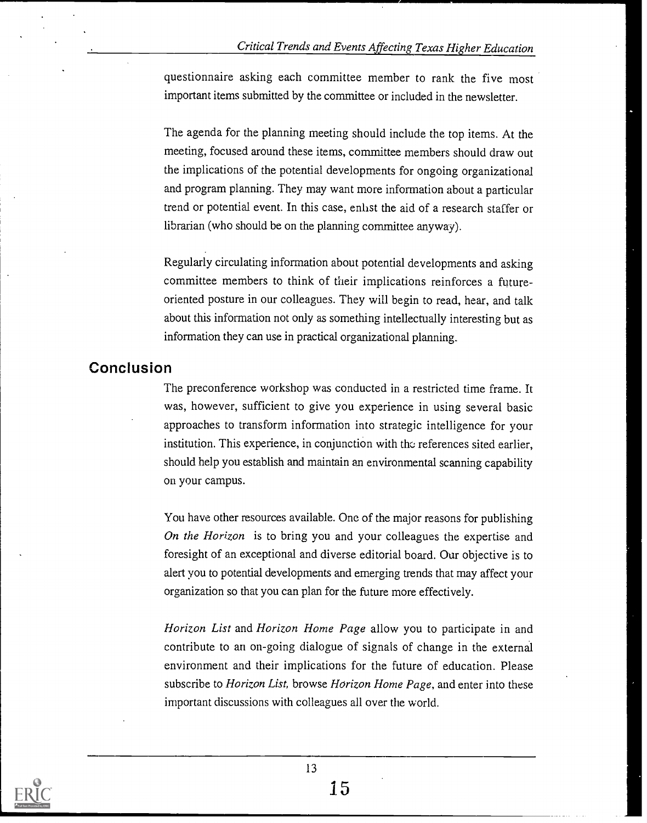questionnaire asking each committee member to rank the five most important items submitted by the committee or included in the newsletter.

The agenda for the planning meeting should include the top items. At the meeting, focused around these items, committee members should draw out the implications of the potential developments for ongoing organizational and program planning. They may want more information about a particular trend or potential event. In this case, enlist the aid of a research staffer or librarian (who should be on the planning committee anyway).

Regularly circulating information about potential developments and asking committee members to think of their implications reinforces a futureoriented posture in our colleagues. They will begin to read, hear, and talk about this information not only as something intellectually interesting but as information they can use in practical organizational planning.

# Conclusion

The preconference workshop was conducted in a restricted time frame. It was, however, sufficient to give you experience in using several basic approaches to transform information into strategic intelligence for your institution. This experience, in conjunction with the references sited earlier, should help you establish and maintain an environmental scanning capability on your campus.

You have other resources available. One of the major reasons for publishing On the Horizon is to bring you and your colleagues the expertise and foresight of an exceptional and diverse editorial board. Our objective is to alert you to potential developments and emerging trends that may affect your organization so that you can plan for the future more effectively.

Horizon List and Horizon Home Page allow you to participate in and contribute to an on-going dialogue of signals of change in the external environment and their implications for the future of education. Please subscribe to *Horizon List*, browse *Horizon Home Page*, and enter into these important discussions with colleagues all over the world.